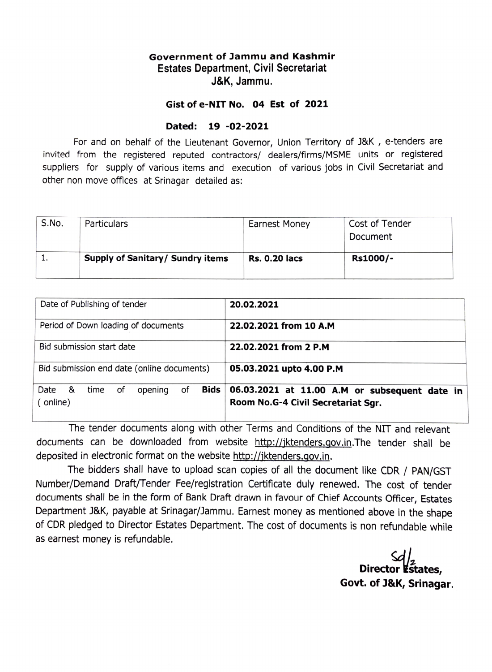## Government of Jammu and Kashmir Estates Department, Civil Secretariat J&K, Jammu.

## Gist of e-NIT No. 04 Est of 2021

## Dated: 19 -02-2021

For and on behalf of the Lieutenant Governor, Union Territory of J&K , e-tenders are invited from the registered reputed contractors/ dealers/firms/MSME units or registered suppliers for supply of various items and execution of various jobs in Civil Secretariat and other non move offices at Srinagar detailed as:

| S.No. | Particulars                             | <b>Earnest Money</b> | Cost of Tender<br>Document |
|-------|-----------------------------------------|----------------------|----------------------------|
|       | <b>Supply of Sanitary/ Sundry items</b> | <b>Rs. 0.20 lacs</b> | Rs1000/-                   |

| Date of Publishing of tender                              | 20.02.2021                                                                          |  |
|-----------------------------------------------------------|-------------------------------------------------------------------------------------|--|
| Period of Down loading of documents                       | 22.02.2021 from 10 A.M                                                              |  |
| Bid submission start date                                 | 22.02.2021 from 2 P.M                                                               |  |
| Bid submission end date (online documents)                | 05.03.2021 upto 4.00 P.M                                                            |  |
| of<br>Bids<br>Date &<br>оf<br>opening<br>time<br>(online) | 06.03.2021 at 11.00 A.M or subsequent date in<br>Room No.G-4 Civil Secretariat Sqr. |  |

The tender documents along with other Terms and Conditions of the NIT and relevant documents can be downloaded from website http://iktenders.gov.in.The tender shall be deposited in electronic format on the website http://jktenders.gov.in.

The bidders shall have to upload scan copies of all the document like CDR / PAN/GST Number/Demand Draft/Tender Fee/registration Certificate duly renewed. The cost of tender documents shall be in the form of Bank Draft drawn in favour of Chief Accounts Officer, Estates Department J&K, payable at Srinagar/Jammu. Earnest money as mentioned above in the shape of CDR pledged to Director Estates Department. The cost of documents is non refundable while as earnest money is refundable.

Director **Estates**. Govt. of J&K, Srinagar.